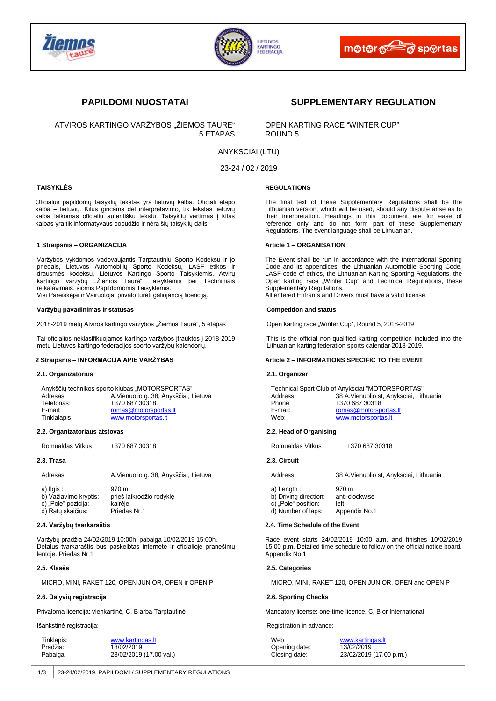





ATVIROS KARTINGO VARŽYBOS "ŽIEMOS TAURĖ" OPEN KARTING RACE "WINTER CUP"<br>5 ETAPAS ROUND 5 5 ETAPAS

# **PAPILDOMI NUOSTATAI SUPPLEMENTARY REGULATION**

# ANYKSCIAI (LTU)

23-24 / 02 / 2019

# **TAISYKLĖS**

Oficialus papildomų taisyklių tekstas yra lietuvių kalba. Oficiali etapo kalba – lietuvių. Kilus ginčams dėl interpretavimo, tik tekstas lietuvių kalba laikomas oficialiu autentišku tekstu. Taisyklių vertimas į kitas kalbas yra tik informatyvaus pobūdžio ir nėra šių taisyklių dalis.

#### **1 Straipsnis – ORGANIZACIJA**

Varžybos vykdomos vadovaujantis Tarptautiniu Sporto Kodeksu ir jo priedais, Lietuvos Automobilių Sporto Kodeksu, LASF etikos ir drausmės kodeksu, Lietuvos Kartingo Sporto Taisyklėmis, Atvirų kartingo varžybų "Žiemos Taurė" Taisyklėmis bei Techniniais reikalavimais, šiomis Papildomomis Taisyklėmis. Visi Pareiškėjai ir Vairuotojai privalo turėti galiojančią licenciją.

**Varžybų pavadinimas ir statusas**

2018-2019 metų Atviros kartingo varžybos "Žiemos Taurė", 5 etapas

Tai oficialios neklasifikuojamos kartingo varžybos įtrauktos į 2018-2019 metų Lietuvos kartingo federacijos sporto varžybų kalendorių.

# **2 Straipsnis – INFORMACIJA APIE VARŽYBAS**

#### **2.1. Organizatorius**

|              | Anykščių technikos sporto klubas "MOTORSPORTAS" |
|--------------|-------------------------------------------------|
| Adresas:     | A. Vienuolio g. 38, Anykščiai, Lietuva          |
| Telefonas:   | +370 687 30318                                  |
| E-mail:      | romas@motorsportas.lt                           |
| Tinklalapis: | www.motorsportas.lt                             |

#### **2.2. Organizatoriaus atstovas**

Romualdas Vitkus +370 687 30318

### **2.3. Trasa**

| Adresas:   | A. Vienuolio g. 38, Anykščiai, Lietuva |
|------------|----------------------------------------|
| a) Ilgis : | 970 m                                  |

| b) Važiavimo kryptis: | prieš laikrodžio rodyklę |
|-----------------------|--------------------------|
| c) "Pole" pozicija:   | kairėje                  |
| d) Ratų skaičius:     | Priedas Nr.1             |

#### **2.4. Varžybų tvarkaraštis**

Varžybų pradžia 24/02/2019 10:00h, pabaiga 10/02/2019 15:00h. Detalus tvarkaraštis bus paskelbtas internete ir oficialioje pranešimų lentoje. Priedas Nr.1

# **2.5. Klasės**

MICRO, MINI, RAKET 120, OPEN JUNIOR, OPEN ir OPEN P

## **2.6. Dalyvių registracija**

Privaloma licencija: vienkartinė, C, B arba Tarptautinė

#### Išankstinė registracija:

| Tinklapis: | www.kartingas.lt        |
|------------|-------------------------|
| Pradžia:   | 13/02/2019              |
| Pabaiga:   | 23/02/2019 (17.00 val.) |

## **REGULATIONS**

The final text of these Supplementary Regulations shall be the Lithuanian version, which will be used, should any dispute arise as to their interpretation. Headings in this document are for ease of reference only and do not form part of these Supplementary Regulations. The event language shall be Lithuanian.

#### **Article 1 – ORGANISATION**

The Event shall be run in accordance with the International Sporting Code and its appendices, the Lithuanian Automobile Sporting Code, LASF code of ethics, the Lithuanian Karting Sporting Regulations, the Open karting race "Winter Cup" and Technical Reguliations, these Supplementary Regulations.

All entered Entrants and Drivers must have a valid license.

#### **Competition and status**

Open karting race "Winter Cup", Round 5, 2018-2019

This is the official non-qualified karting competition included into the Lithuanian karting federation sports calendar 2018-2019.

## **Article 2 – INFORMATIONS SPECIFIC TO THE EVENT**

#### **2.1. Organizer**

Technical Sport Club of Anyksciai "MOTORSPORTAS" 38 A.Vienuolio st, Anyksciai, Lithuania Phone: +370 687 30318 E-mail: [romas@motorsportas.lt](mailto:romas@motorsportas.lt) Web: [www.motorsportas.lt](http://www.motorsportas.lt/)

### **2.2. Head of Organising**

Romualdas Vitkus +370 687 30318

# **2.3. Circuit**

| Address: | 38 A. Vienuolio st, Anyksciai, Lithuania |  |
|----------|------------------------------------------|--|
|          |                                          |  |

a) Length : 970 m b) Driving direction: anti-clockwise c) .Pole" position: left

d) Number of laps: Appendix No.1

#### **2.4. Time Schedule of the Event**

Race event starts 24/02/2019 10:00 a.m. and finishes 10/02/2019 15:00 p.m. Detailed time schedule to follow on the official notice board. Appendix No.1

#### **2.5. Categories**

MICRO, MINI, RAKET 120, OPEN JUNIOR, OPEN and OPEN P

# **2.6. Sporting Checks**

Mandatory license: one-time licence, C, B or International

#### Registration in advance:

Opening date: 13/02/2019<br>Closing date: 23/02/2019

Web: [www.kartingas.lt](http://www.kartingas.lt/) 23/02/2019 (17.00 p.m.)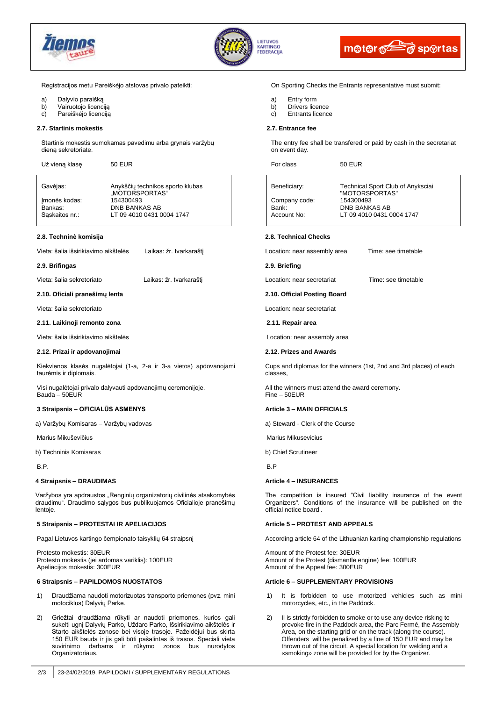





Registracijos metu Pareiškėjo atstovas privalo pateikti:

- a) Dalyvio paraišką
- b) Vairuotojo licenciją
- c) Pareiškėjo licenciją

#### **2.7. Startinis mokestis**

Startinis mokestis sumokamas pavedimu arba grynais varžybų dieną sekretoriate.

| Už vieną klasę | <b>50 EUR</b> |
|----------------|---------------|
|----------------|---------------|

Gavėjas: Anykščių technikos sporto klubas "MOTORSPORTAS"<br>154300493 Imonės kodas: Example and Sankas:<br>
Saskaitos nr.:<br>
LT 09 4010 0431 0 LT 09 4010 0431 0004 1747

#### **2.8. Techninė komisija**

Vieta: šalia išsirikiavimo aikštelės Laikas: žr. tvarkaraštį

**2.9. Brifingas**

Vieta: šalia sekretoriato Laikas: žr. tvarkaraštį

**2.10. Oficiali pranešimų lenta** 

Vieta: šalia sekretoriato

**2.11. Laikinoji remonto zona**

Vieta: šalia išsirikiavimo aikštelės

#### **2.12. Prizai ir apdovanojimai**

Kiekvienos klasės nugalėtojai (1-a, 2-a ir 3-a vietos) apdovanojami taurėmis ir diplomais.

Visi nugalėtojai privalo dalyvauti apdovanojimų ceremonijoje. Bauda – 50EUR

# **3 Straipsnis – OFICIALŪS ASMENYS**

a) Varžybų Komisaras – Varžybų vadovas

Marius Mikuševičius

b) Techninis Komisaras

B.P.

#### **4 Straipsnis – DRAUDIMAS**

Varžybos yra apdraustos "Renginių organizatorių civilinės atsakomybės draudimu". Draudimo sąlygos bus publikuojamos Oficialioje pranešimų lentoje.

## **5 Straipsnis – PROTESTAI IR APELIACIJOS**

Pagal Lietuvos kartingo čempionato taisyklių 64 straipsnį

Protesto mokestis: 30EUR Protesto mokestis (jei ardomas variklis): 100EUR Apeliacijos mokestis: 300EUR

### **6 Straipsnis – PAPILDOMOS NUOSTATOS**

- 1) Draudžiama naudoti motorizuotas transporto priemones (pvz. mini motociklus) Dalyvių Parke.
- 2) Griežtai draudžiama rūkyti ar naudoti priemones, kurios gali sukelti ugnį Dalyvių Parko, Uždaro Parko, Išsirikiavimo aikštelės ir Starto aikštelės zonose bei visoje trasoje. Pažeidėjui bus skirta 150 EUR bauda ir jis gali būti pašalintas iš trasos. Speciali vieta suvirinimo darbams ir rūkymo zonos bus nurodytos Organizatoriaus.

#### On Sporting Checks the Entrants representative must submit:

- a) Entry form<br>b) Drivers lice
- Drivers licence
- c) Entrants licence

#### **2.7. Entrance fee**

The entry fee shall be transfered or paid by cash in the secretariat on event day.

For class 50 EUR

| Beneficiary:  | Technical Sport Club of Anyksciai<br>"MOTORSPORTAS" |
|---------------|-----------------------------------------------------|
| Company code: | 154300493                                           |
| Bank:         | <b>DNB BANKAS AB</b>                                |
| Account No:   | LT 09 4010 0431 0004 1747                           |

#### **2.8. Technical Checks**

Location: near assembly area Time: see timetable

**2.9. Briefing**

Location: near secretariat Time: see timetable

#### **2.10. Official Posting Board**

Location: near secretariat

**2.11. Repair area**

Location: near assembly area

#### **2.12. Prizes and Awards**

Cups and diplomas for the winners (1st, 2nd and 3rd places) of each classes,

All the winners must attend the award ceremony. Fine – 50EUR

# **Article 3 – MAIN OFFICIALS**

a) Steward - Clerk of the Course

Marius Mikusevicius

b) Chief Scrutineer

B.P

#### **Article 4 – INSURANCES**

The competition is insured "Civil liability insurance of the event Organizers". Conditions of the insurance will be published on the official notice board .

# **Article 5 – PROTEST AND APPEALS**

According article 64 of the Lithuanian karting championship regulations

Amount of the Protest fee: 30EUR Amount of the Protest (dismantle engine) fee: 100EUR Amount of the Appeal fee: 300EUR

## **Article 6 – SUPPLEMENTARY PROVISIONS**

- 1) It is forbidden to use motorized vehicles such as mini motorcycles, etc., in the Paddock.
- 2) Il is strictly forbidden to smoke or to use any device risking to provoke fire in the Paddock area, the Parc Fermé, the Assembly Area, on the starting grid or on the track (along the course). Offenders will be penalized by a fine of 150 EUR and may be thrown out of the circuit. A special location for welding and a «smoking» zone will be provided for by the Organizer.